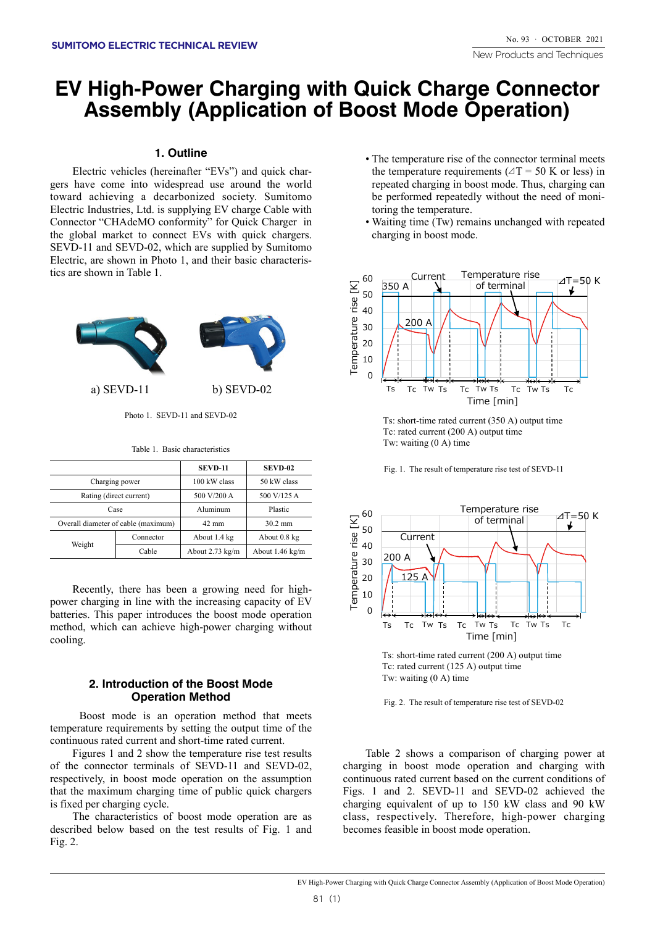## **EV High-Power Charging with Quick Charge Connector Assembly (Application of Boost Mode Operation)**

## **Outline 1.**

gers have come into widespread use around the world Electric vehicles (hereinafter "EVs") and quick chartoward achieving a decarbonized society. Sumitomo Electric Industries, Ltd. is supplying EV charge Cable with Connector "CHAdeMO conformity" for Quick Charger in the global market to connect EVs with quick chargers. SEVD-11 and SEVD-02, which are supplied by Sumitomo Electric, are shown in Photo 1, and their basic characteristics are shown in Table 1.



 $-$ Photo 1 SEVD-11 and SEVD-02

Table 1. Basic characteristics

|                                     |           | <b>SEVD-11</b>            | <b>SEVD-02</b>            |
|-------------------------------------|-----------|---------------------------|---------------------------|
| Charging power                      |           | 100 kW class              | 50 kW class               |
| Rating (direct current)             |           | 500 V/200 A               | 500 V/125 A               |
| Case                                |           | Aluminum                  | Plastic                   |
| Overall diameter of cable (maximum) |           | $42 \text{ mm}$           | $30.2 \text{ mm}$         |
| Weight                              | Connector | About 1.4 kg              | About 0.8 kg              |
|                                     | Cable     | About $2.73 \text{ kg/m}$ | About $1.46 \text{ kg/m}$ |

power charging in line with the increasing capacity of EV Recently, there has been a growing need for highbatteries. This paper introduces the boost mode operation method, which can achieve high-power charging without .cooling

## **2. Introduction of the Boost Mode Operation Method**

Boost mode is an operation method that meets temperature requirements by setting the output time of the continuous rated current and short-time rated current.

Figures 1 and 2 show the temperature rise test results of the connector terminals of SEVD-11 and SEVD-02, respectively, in boost mode operation on the assumption that the maximum charging time of public quick chargers is fixed per charging cycle.

The characteristics of boost mode operation are as described below based on the test results of Fig. 1 and  $Fig. 2.$ 

- The temperature rise of the connector terminal meets the temperature requirements ( $\angle T = 50$  K or less) in repeated charging in boost mode. Thus, charging can be performed repeatedly without the need of monitoring the temperature.
- Waiting time (Tw) remains unchanged with repeated charging in boost mode.



Ts: short-time rated current  $(350 \text{ A})$  output time Tc: rated current  $(200 \text{ A})$  output time Tw: waiting  $(0 \text{ A})$  time





Ts: short-time rated current  $(200 \text{ A})$  output time Tc: rated current  $(125 \text{ A})$  output time Tw: waiting  $(0 A)$  time

Fig. 2. The result of temperature rise test of SEVD-02.

Table 2 shows a comparison of charging power at charging in boost mode operation and charging with continuous rated current based on the current conditions of Figs. 1 and 2. SEVD-11 and SEVD-02 achieved the charging equivalent of up to  $150$  kW class and  $90$  kW class, respectively. Therefore, high-power charging becomes feasible in boost mode operation.